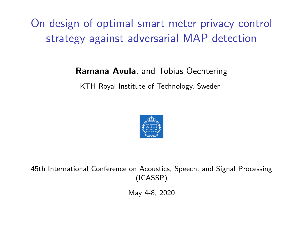# <span id="page-0-1"></span><span id="page-0-0"></span>On design of optimal smart meter privacy control strategy against adversarial MAP detection

#### Ramana Avula, and Tobias Oechtering

KTH Royal Institute of Technology, Sweden.



45th International Conference on Acoustics, Speech, and Signal Processing (ICASSP)

May 4-8, 2020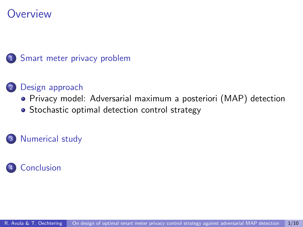## **Overview**



#### [Design approach](#page-6-0)

- [Privacy model: Adversarial maximum a posteriori \(MAP\) detection](#page-6-0)
- [Stochastic optimal detection control strategy](#page-9-0)

#### [Numerical study](#page-0-0)

#### **[Conclusion](#page-0-0)**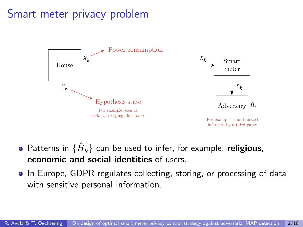## <span id="page-2-0"></span>Smart meter privacy problem



- Patterns in  $\{\hat{H}_k\}$  can be used to infer, for example,  $\boldsymbol{\mathsf{religious}\},$ economic and social identities of users.
- In Europe, GDPR regulates collecting, storing, or processing of data with sensitive personal information.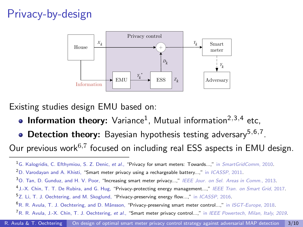# Privacy-by-design



Existing studies design EMU based on:

- **Information theory:** Variance<sup>1</sup>, Mutual information<sup>2,3,4</sup> etc,
- Detection theory: Bayesian hypothesis testing adversary<sup>5,6,7</sup>. Our previous work<sup>6,7</sup> focused on including real ESS aspects in EMU design.

 $1$ G. Kalogridis, C. Efthymiou, S. Z. Denic, et al., "Privacy for smart meters: Towards...," in SmartGridComm, 2010.

<sup>&</sup>lt;sup>2</sup>D. Varodavan and A. Khisti, "Smart meter privacy using a rechargeable battery...," in *ICASSP*, 2011.

<sup>&</sup>lt;sup>3</sup>O. Tan, D. Gunduz, and H. V. Poor, "Increasing smart meter privacy...," IEEE Jour. on Sel. Areas in Comm., 2013.

<sup>4</sup> J.-X. Chin, T. T. De Rubira, and G. Hug, "Privacy-protecting energy management...," IEEE Tran. on Smart Grid, 2017.

<sup>5</sup>Z. Li, T. J. Oechtering, and M. Skoglund, "Privacy-preserving energy flow...," in ICASSP, 2016.

 $^{6}$ R. R. Avula, T. J. Oechtering, and D. Månsson, "Privacy-preserving smart meter control...," in *ISGT-Europe*, 2018.

<sup>&</sup>lt;sup>7</sup>R. R. Avula, J.-X. Chin, T. J. Oechtering, et al., "Smart meter privacy control...," in IEEE Powertech, Milan, Italy, 2019.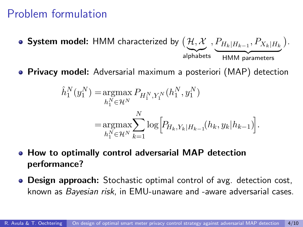#### Problem formulation

- ${\sf System}$  model: <code>HMM</code> characterized by  $\left(\mathcal{H},\mathcal{X}\right.,P_{H_k|H_{k-1}},P_{X_k|H_k}\,\right).$ alphabets HMM parameters
- **Privacy model:** Adversarial maximum a posteriori (MAP) detection

$$
\hat{h}_1^N(y_1^N) = \underset{h_1^N \in \mathcal{H}^N}{\operatorname{argmax}} P_{H_1^N, Y_1^N}(h_1^N, y_1^N)
$$
  

$$
= \underset{h_1^N \in \mathcal{H}^N}{\operatorname{argmax}} \sum_{k=1}^N \log \Big[ P_{H_k, Y_k | H_{k-1}}(h_k, y_k | h_{k-1}) \Big].
$$

- How to optimally control adversarial MAP detection performance?
- **Design approach:** Stochastic optimal control of avg. detection cost, known as Bayesian risk, in EMU-unaware and -aware adversarial cases.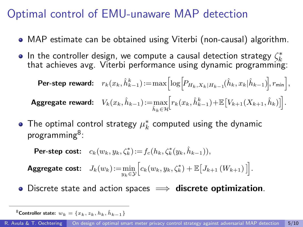## Optimal control of EMU-unaware MAP detection

- MAP estimate can be obtained using Viterbi (non-causal) algorithm.
- In the controller design, we compute a causal detection strategy  $\zeta_k^*$ <br>that achieves avg. Viterbi performance using dynamic programming:

Per-step reward:  $r_k(x_k,\hat h_{k-1}^k)\!:=\!\max\!\left[\log\!\left[\!P_{H_k,X_k|H_{k-1}}\!\!\left(\hat h_k,x_k|\hat h_{k-1}\right)\!\right]\!,r_{\text{min}}\right],$ Aggregate reward:  $V_k(x_k, \hat{h}_{k-1})\!:=\!\max_{\hat{h}_k \in \mathcal{H}}$  $\left[r_k(x_k, \hat{h}_{k-1}^k) + \mathbb{E}\left[V_{k+1}(X_{k+1}, \hat{h}_k)\right]\right].$ 

The optimal control strategy  $\mu_k^*$  computed using the dynamic programming<sup>8</sup>:

Per-step cost:  $c_k(w_k, y_k, \zeta_k^*) := f_c(h_k, \zeta_k^*(y_k, \hat{h}_{k-1})),$ Aggregate cost:  $J_k(w_k) := \min_{y_k \in \mathcal{Y}} \Big[ c_k(w_k, y_k, \zeta_k^*) + \mathbb{E} \big[ J_{k+1} \left( W_{k+1} \right) \big] \Big].$ 

• Discrete state and action spaces  $\implies$  discrete optimization.

 $^8$ Controller state:  $w_k = \{x_k, z_k, h_k, \hat{h}_{k-1}\}$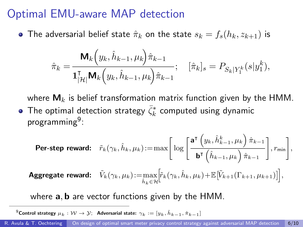#### <span id="page-6-0"></span>Optimal EMU-aware MAP detection

• The adversarial belief state  $\hat{\pi}_k$  on the state  $s_k = f_s(h_k, z_{k+1})$  is

$$
\hat{\pi}_k = \frac{\mathbf{M}_k \left( y_k, \hat{h}_{k-1}, \mu_k \right) \hat{\pi}_{k-1}}{\mathbf{1}_{|\mathcal{H}|}^{\mathsf{T}} \mathbf{M}_k \left( y_k, \hat{h}_{k-1}, \mu_k \right) \hat{\pi}_{k-1}}; \quad [\hat{\pi}_k]_s = P_{S_k | Y_1^k} (s | y_1^k),
$$

where  $M_k$  is belief transformation matrix function given by the HMM. The optimal detection strategy  $\bar{\zeta}_k^*$  computed using dynamic programming<sup>9</sup>:

$$
\textbf{Per-step reward:} \quad \tilde{r}_k(\gamma_k, \hat{h}_k, \mu_k) \!:=\! \max \Bigg[\log \Bigg[\frac{\texttt{a}^\intercal \left(y_k, \hat{h}_{k-1}^k, \mu_k\right) \hat{\pi}_{k-1}}{\texttt{b}^\intercal \left(\hat{h}_{k-1}, \mu_k\right) \hat{\pi}_{k-1}}\Bigg], r_{\text{min}}\Bigg],
$$

Aggregate reward:  $\tilde{V}_k(\gamma_k,\mu_k)\!:=\!\max_{\hat{h}_k\in\mathcal{H}}$  $\left[ \tilde{r}_k(\gamma_k, \hat{h}_k, \mu_k) + \mathbb{E} \left[ \tilde{V}_{k+1}(\Gamma_{k+1}, \mu_{k+1}) \right] \right],$ 

where  $a, b$  are vector functions given by the HMM.

 $^9$ Control strategy  $\mu_k: \mathcal{W} \to \mathcal{Y}$ ; Adversarial state:  $\gamma_k := [y_k, \hat{h}_{k-1}, \hat{\pi}_{k-1}]$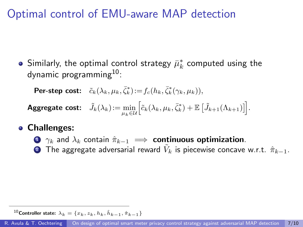## Optimal control of EMU-aware MAP detection

Similarly, the optimal control strategy  $\bar{\mu}_k^*$  computed using the dynamic programming $10$ :

**Per-step cost:**  $\tilde{c}_k(\lambda_k, \mu_k, \bar{\zeta}_k^*)$ : $=f_c(h_k, \bar{\zeta}_k^*(\gamma_k, \mu_k)),$ 

 $\textsf{Aggregate cost:} \quad \tilde{J}_k(\lambda_k) \! := \! \min_{\mu_k \in \mathcal{U}} \Big[ \tilde{c}_k(\lambda_k, \mu_k, \bar{\zeta}_k^*) + \mathbb{E} \left[ \tilde{J}_{k+1}(\Lambda_{k+1}) \right] \! \Big].$ 

#### Challenges:

- **1**  $\gamma_k$  and  $\lambda_k$  contain  $\hat{\pi}_{k-1}$   $\implies$  **continuous optimization.** 
	- $\bullet$  The aggregate adversarial reward  $\tilde{V}_k$  is piecewise concave w.r.t.  $\hat{\pi}_{k-1}.$

 $^{10}$ Controller state:  $\lambda_k=\{x_k,z_k,h_k,\hat{h}_{k-1},\hat{\pi}_{k-1}\}$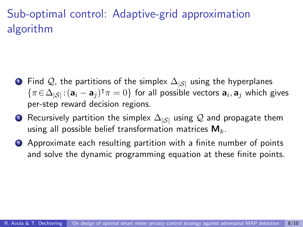# Sub-optimal control: Adaptive-grid approximation algorithm

- $\bullet$  Find  $\mathcal{Q}$ , the partitions of the simplex  $\Delta_{|\mathcal{S}|}$  using the hyperplanes  $\{\pi \in \Delta_{|\mathcal{S}|}: (\mathbf{a}_i - \mathbf{a}_j)^\intercal \pi = 0\}$  for all possible vectors  $\mathbf{a}_i, \mathbf{a}_j$  which gives per-step reward decision regions.
- **②** Recursively partition the simplex  $\Delta_{|S|}$  using  $Q$  and propagate them using all possible belief transformation matrices  $M_k$ .
- **3** Approximate each resulting partition with a finite number of points and solve the dynamic programming equation at these finite points.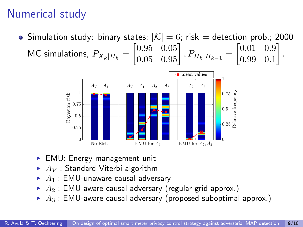# <span id="page-9-0"></span>Numerical study

• Simulation study: binary states;  $|\mathcal{K}| = 6$ ; risk = detection prob.; 2000  $\textsf{MC} \text{ simulations}, \ P_{X_k|H_k} = \begin{bmatrix} 0.95 & 0.05\ 0.05 & 0.95 \end{bmatrix}, P_{H_k|H_{k-1}} = \begin{bmatrix} 0.01 & 0.9\ 0.99 & 0.1 \end{bmatrix}$ 0.99 0.1 .



- $\blacktriangleright$  EMU: Energy management unit
- $\blacktriangleright$   $A_V$  : Standard Viterbi algorithm
- $\blacktriangleright$  A<sub>1</sub> : EMU-unaware causal adversary
- $\blacktriangleright$   $A_2$ : EMU-aware causal adversary (regular grid approx.)
- $\blacktriangleright$   $A_3$ : EMU-aware causal adversary (proposed suboptimal approx.)